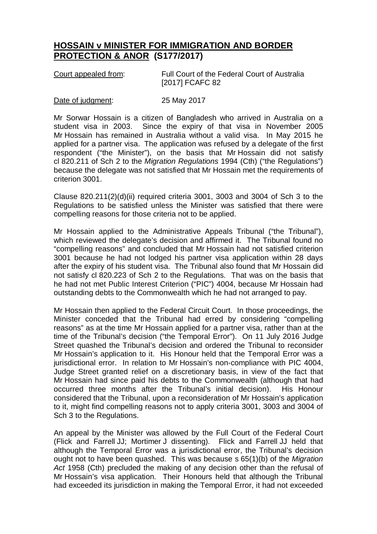## **HOSSAIN v MINISTER FOR IMMIGRATION AND BORDER PROTECTION & ANOR (S177/2017)**

| Court appealed from: | Full Court of the Federal Court of Australia |
|----------------------|----------------------------------------------|
|                      | [2017] FCAFC 82                              |

## Date of judgment: 25 May 2017

Mr Sorwar Hossain is a citizen of Bangladesh who arrived in Australia on a student visa in 2003. Since the expiry of that visa in November 2005 Mr Hossain has remained in Australia without a valid visa. In May 2015 he applied for a partner visa. The application was refused by a delegate of the first respondent ("the Minister"), on the basis that Mr Hossain did not satisfy cl 820.211 of Sch 2 to the *Migration Regulations* 1994 (Cth) ("the Regulations") because the delegate was not satisfied that Mr Hossain met the requirements of criterion 3001.

Clause 820.211(2)(d)(ii) required criteria 3001, 3003 and 3004 of Sch 3 to the Regulations to be satisfied unless the Minister was satisfied that there were compelling reasons for those criteria not to be applied.

Mr Hossain applied to the Administrative Appeals Tribunal ("the Tribunal"), which reviewed the delegate's decision and affirmed it. The Tribunal found no "compelling reasons" and concluded that Mr Hossain had not satisfied criterion 3001 because he had not lodged his partner visa application within 28 days after the expiry of his student visa. The Tribunal also found that Mr Hossain did not satisfy cl 820.223 of Sch 2 to the Regulations. That was on the basis that he had not met Public Interest Criterion ("PIC") 4004, because Mr Hossain had outstanding debts to the Commonwealth which he had not arranged to pay.

Mr Hossain then applied to the Federal Circuit Court. In those proceedings, the Minister conceded that the Tribunal had erred by considering "compelling reasons" as at the time Mr Hossain applied for a partner visa, rather than at the time of the Tribunal's decision ("the Temporal Error"). On 11 July 2016 Judge Street quashed the Tribunal's decision and ordered the Tribunal to reconsider Mr Hossain's application to it. His Honour held that the Temporal Error was a jurisdictional error. In relation to Mr Hossain's non-compliance with PIC 4004, Judge Street granted relief on a discretionary basis, in view of the fact that Mr Hossain had since paid his debts to the Commonwealth (although that had occurred three months after the Tribunal's initial decision). His Honour considered that the Tribunal, upon a reconsideration of Mr Hossain's application to it, might find compelling reasons not to apply criteria 3001, 3003 and 3004 of Sch 3 to the Regulations.

An appeal by the Minister was allowed by the Full Court of the Federal Court (Flick and Farrell JJ; Mortimer J dissenting). Flick and Farrell JJ held that although the Temporal Error was a jurisdictional error, the Tribunal's decision ought not to have been quashed. This was because s 65(1)(b) of the *Migration Act* 1958 (Cth) precluded the making of any decision other than the refusal of Mr Hossain's visa application. Their Honours held that although the Tribunal had exceeded its jurisdiction in making the Temporal Error, it had not exceeded